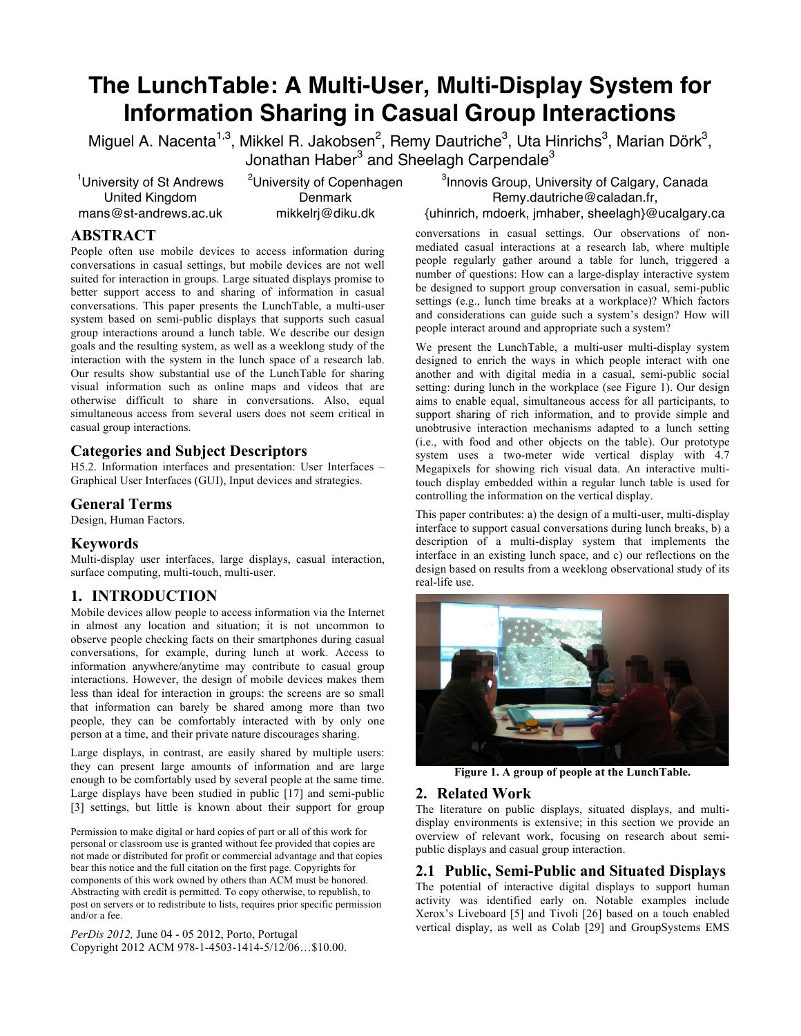# **The LunchTable: A Multi-User, Multi-Display System for Information Sharing in Casual Group Interactions**

Miguel A. Nacenta<sup>1,3</sup>, Mikkel R. Jakobsen<sup>2</sup>, Remy Dautriche<sup>3</sup>, Uta Hinrichs<sup>3</sup>, Marian Dörk<sup>3</sup>, Jonathan Haber $^3$  and Sheelagh Carpendale $^3$ 

<sup>1</sup>University of St Andrews United Kingdom mans@st-andrews.ac.uk <sup>2</sup>University of Copenhagen Denmark mikkelrj@diku.dk

# **ABSTRACT**

People often use mobile devices to access information during conversations in casual settings, but mobile devices are not well suited for interaction in groups. Large situated displays promise to better support access to and sharing of information in casual conversations. This paper presents the LunchTable, a multi-user system based on semi-public displays that supports such casual group interactions around a lunch table. We describe our design goals and the resulting system, as well as a weeklong study of the interaction with the system in the lunch space of a research lab. Our results show substantial use of the LunchTable for sharing visual information such as online maps and videos that are otherwise difficult to share in conversations. Also, equal simultaneous access from several users does not seem critical in casual group interactions.

## **Categories and Subject Descriptors**

H5.2. Information interfaces and presentation: User Interfaces – Graphical User Interfaces (GUI), Input devices and strategies.

# **General Terms**

Design, Human Factors.

## **Keywords**

Multi-display user interfaces, large displays, casual interaction, surface computing, multi-touch, multi-user.

# **1. INTRODUCTION**

Mobile devices allow people to access information via the Internet in almost any location and situation; it is not uncommon to observe people checking facts on their smartphones during casual conversations, for example, during lunch at work. Access to information anywhere/anytime may contribute to casual group interactions. However, the design of mobile devices makes them less than ideal for interaction in groups: the screens are so small that information can barely be shared among more than two people, they can be comfortably interacted with by only one person at a time, and their private nature discourages sharing.

Large displays, in contrast, are easily shared by multiple users: they can present large amounts of information and are large enough to be comfortably used by several people at the same time. Large displays have been studied in public [17] and semi-public [3] settings, but little is known about their support for group

Permission to make digital or hard copies of part or all of this work for personal or classroom use is granted without fee provided that copies are not made or distributed for profit or commercial advantage and that copies bear this notice and the full citation on the first page. Copyrights for components of this work owned by others than ACM must be honored. Abstracting with credit is permitted. To copy otherwise, to republish, to post on servers or to redistribute to lists, requires prior specific permission and/or a fee.

*PerDis 2012,* June 04 - 05 2012, Porto, Portugal Copyright 2012 ACM 978-1-4503-1414-5/12/06…\$10.00.

<sup>3</sup>Innovis Group, University of Calgary, Canada Remy.dautriche@caladan.fr, {uhinrich, mdoerk, jmhaber, sheelagh}@ucalgary.ca

conversations in casual settings. Our observations of nonmediated casual interactions at a research lab, where multiple people regularly gather around a table for lunch, triggered a number of questions: How can a large-display interactive system be designed to support group conversation in casual, semi-public settings (e.g., lunch time breaks at a workplace)? Which factors and considerations can guide such a system's design? How will

people interact around and appropriate such a system?

We present the LunchTable, a multi-user multi-display system designed to enrich the ways in which people interact with one another and with digital media in a casual, semi-public social setting: during lunch in the workplace (see Figure 1). Our design aims to enable equal, simultaneous access for all participants, to support sharing of rich information, and to provide simple and unobtrusive interaction mechanisms adapted to a lunch setting (i.e., with food and other objects on the table). Our prototype system uses a two-meter wide vertical display with 4.7 Megapixels for showing rich visual data. An interactive multitouch display embedded within a regular lunch table is used for controlling the information on the vertical display.

This paper contributes: a) the design of a multi-user, multi-display interface to support casual conversations during lunch breaks, b) a description of a multi-display system that implements the interface in an existing lunch space, and c) our reflections on the design based on results from a weeklong observational study of its real-life use.



**Figure 1. A group of people at the LunchTable.**

## **2. Related Work**

The literature on public displays, situated displays, and multidisplay environments is extensive; in this section we provide an overview of relevant work, focusing on research about semipublic displays and casual group interaction.

# **2.1 Public, Semi-Public and Situated Displays**

The potential of interactive digital displays to support human activity was identified early on. Notable examples include Xerox's Liveboard [5] and Tivoli [26] based on a touch enabled vertical display, as well as Colab [29] and GroupSystems EMS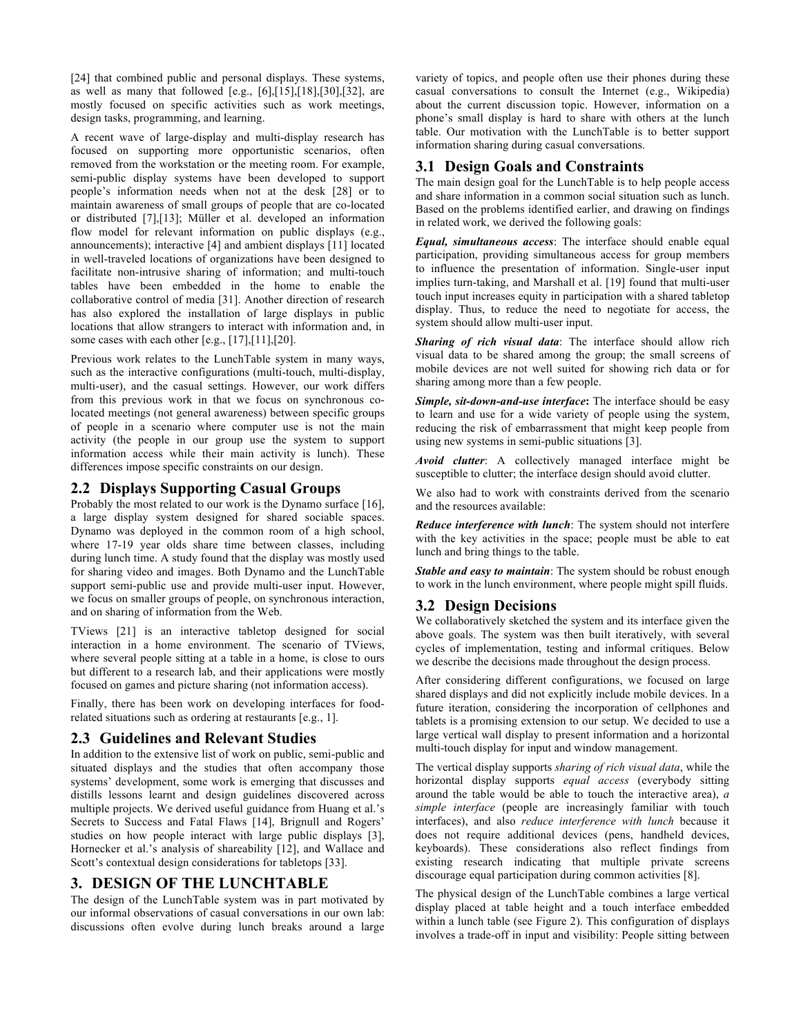[24] that combined public and personal displays. These systems, as well as many that followed  $[e.g., [6],[15],[18],[30],[32]$ , are mostly focused on specific activities such as work meetings, design tasks, programming, and learning.

A recent wave of large-display and multi-display research has focused on supporting more opportunistic scenarios, often removed from the workstation or the meeting room. For example, semi-public display systems have been developed to support people's information needs when not at the desk [28] or to maintain awareness of small groups of people that are co-located or distributed [7],[13]; Müller et al. developed an information flow model for relevant information on public displays (e.g., announcements); interactive [4] and ambient displays [11] located in well-traveled locations of organizations have been designed to facilitate non-intrusive sharing of information; and multi-touch tables have been embedded in the home to enable the collaborative control of media [31]. Another direction of research has also explored the installation of large displays in public locations that allow strangers to interact with information and, in some cases with each other [e.g., [17],[11],[20].

Previous work relates to the LunchTable system in many ways, such as the interactive configurations (multi-touch, multi-display, multi-user), and the casual settings. However, our work differs from this previous work in that we focus on synchronous colocated meetings (not general awareness) between specific groups of people in a scenario where computer use is not the main activity (the people in our group use the system to support information access while their main activity is lunch). These differences impose specific constraints on our design.

# **2.2 Displays Supporting Casual Groups**

Probably the most related to our work is the Dynamo surface [16], a large display system designed for shared sociable spaces. Dynamo was deployed in the common room of a high school, where 17-19 year olds share time between classes, including during lunch time. A study found that the display was mostly used for sharing video and images. Both Dynamo and the LunchTable support semi-public use and provide multi-user input. However, we focus on smaller groups of people, on synchronous interaction, and on sharing of information from the Web.

TViews [21] is an interactive tabletop designed for social interaction in a home environment. The scenario of TViews, where several people sitting at a table in a home, is close to ours but different to a research lab, and their applications were mostly focused on games and picture sharing (not information access).

Finally, there has been work on developing interfaces for foodrelated situations such as ordering at restaurants [e.g., 1].

# **2.3 Guidelines and Relevant Studies**

In addition to the extensive list of work on public, semi-public and situated displays and the studies that often accompany those systems' development, some work is emerging that discusses and distills lessons learnt and design guidelines discovered across multiple projects. We derived useful guidance from Huang et al.'s Secrets to Success and Fatal Flaws [14], Brignull and Rogers' studies on how people interact with large public displays [3], Hornecker et al.'s analysis of shareability [12], and Wallace and Scott's contextual design considerations for tabletops [33].

# **3. DESIGN OF THE LUNCHTABLE**

The design of the LunchTable system was in part motivated by our informal observations of casual conversations in our own lab: discussions often evolve during lunch breaks around a large

variety of topics, and people often use their phones during these casual conversations to consult the Internet (e.g., Wikipedia) about the current discussion topic. However, information on a phone's small display is hard to share with others at the lunch table. Our motivation with the LunchTable is to better support information sharing during casual conversations.

# **3.1 Design Goals and Constraints**

The main design goal for the LunchTable is to help people access and share information in a common social situation such as lunch. Based on the problems identified earlier, and drawing on findings in related work, we derived the following goals:

*Equal, simultaneous access*: The interface should enable equal participation, providing simultaneous access for group members to influence the presentation of information. Single-user input implies turn-taking, and Marshall et al. [19] found that multi-user touch input increases equity in participation with a shared tabletop display. Thus, to reduce the need to negotiate for access, the system should allow multi-user input.

*Sharing of rich visual data*: The interface should allow rich visual data to be shared among the group; the small screens of mobile devices are not well suited for showing rich data or for sharing among more than a few people.

*Simple, sit-down-and-use interface***:** The interface should be easy to learn and use for a wide variety of people using the system, reducing the risk of embarrassment that might keep people from using new systems in semi-public situations [3].

*Avoid clutter*: A collectively managed interface might be susceptible to clutter; the interface design should avoid clutter.

We also had to work with constraints derived from the scenario and the resources available:

*Reduce interference with lunch*: The system should not interfere with the key activities in the space; people must be able to eat lunch and bring things to the table.

*Stable and easy to maintain*: The system should be robust enough to work in the lunch environment, where people might spill fluids.

# **3.2 Design Decisions**

We collaboratively sketched the system and its interface given the above goals. The system was then built iteratively, with several cycles of implementation, testing and informal critiques. Below we describe the decisions made throughout the design process.

After considering different configurations, we focused on large shared displays and did not explicitly include mobile devices. In a future iteration, considering the incorporation of cellphones and tablets is a promising extension to our setup. We decided to use a large vertical wall display to present information and a horizontal multi-touch display for input and window management.

The vertical display supports *sharing of rich visual data*, while the horizontal display supports *equal access* (everybody sitting around the table would be able to touch the interactive area), *a simple interface* (people are increasingly familiar with touch interfaces), and also *reduce interference with lunch* because it does not require additional devices (pens, handheld devices, keyboards). These considerations also reflect findings from existing research indicating that multiple private screens discourage equal participation during common activities [8].

The physical design of the LunchTable combines a large vertical display placed at table height and a touch interface embedded within a lunch table (see Figure 2). This configuration of displays involves a trade-off in input and visibility: People sitting between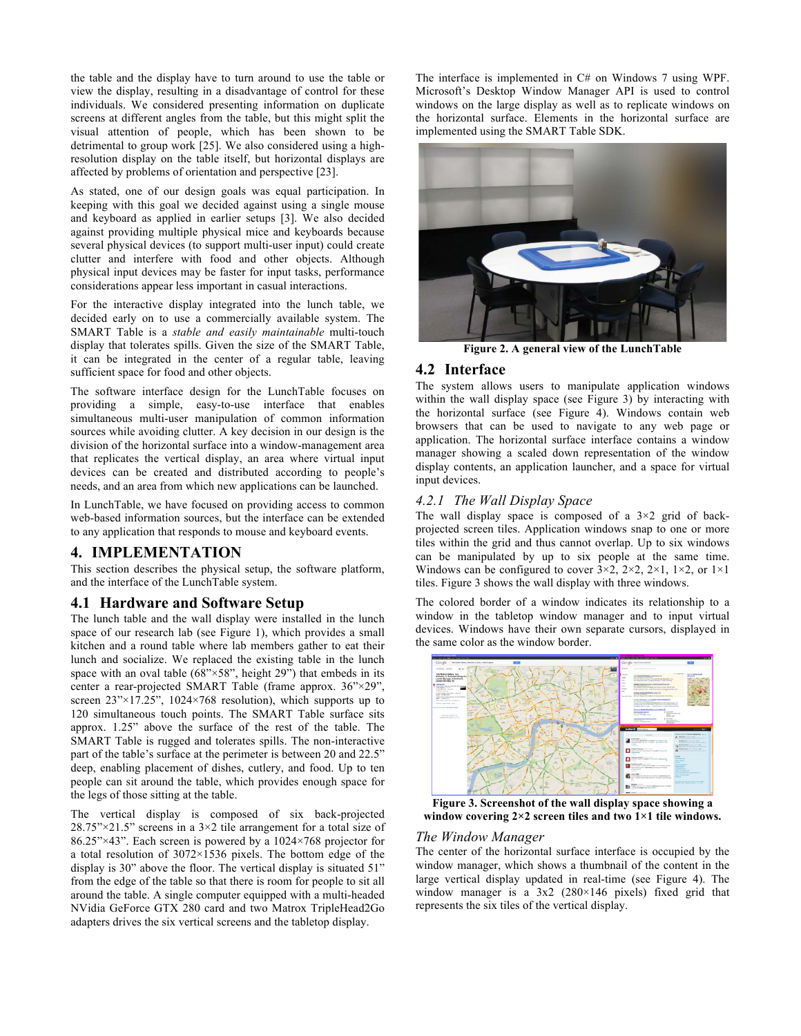the table and the display have to turn around to use the table or view the display, resulting in a disadvantage of control for these individuals. We considered presenting information on duplicate screens at different angles from the table, but this might split the visual attention of people, which has been shown to be detrimental to group work [25]. We also considered using a highresolution display on the table itself, but horizontal displays are affected by problems of orientation and perspective [23].

As stated, one of our design goals was equal participation. In keeping with this goal we decided against using a single mouse and keyboard as applied in earlier setups [3]. We also decided against providing multiple physical mice and keyboards because several physical devices (to support multi-user input) could create clutter and interfere with food and other objects. Although physical input devices may be faster for input tasks, performance considerations appear less important in casual interactions.

For the interactive display integrated into the lunch table, we decided early on to use a commercially available system. The SMART Table is a *stable and easily maintainable* multi-touch display that tolerates spills. Given the size of the SMART Table, it can be integrated in the center of a regular table, leaving sufficient space for food and other objects.

The software interface design for the LunchTable focuses on providing a simple, easy-to-use interface that enables simultaneous multi-user manipulation of common information sources while avoiding clutter. A key decision in our design is the division of the horizontal surface into a window-management area that replicates the vertical display, an area where virtual input devices can be created and distributed according to people's needs, and an area from which new applications can be launched.

In LunchTable, we have focused on providing access to common web-based information sources, but the interface can be extended to any application that responds to mouse and keyboard events.

# **4. IMPLEMENTATION**

This section describes the physical setup, the software platform, and the interface of the LunchTable system.

## **4.1 Hardware and Software Setup**

The lunch table and the wall display were installed in the lunch space of our research lab (see Figure 1), which provides a small kitchen and a round table where lab members gather to eat their lunch and socialize. We replaced the existing table in the lunch space with an oval table  $(68" \times 58"$ , height 29") that embeds in its center a rear-projected SMART Table (frame approx. 36"×29", screen  $23'' \times 17.25''$ ,  $1024 \times 768$  resolution), which supports up to 120 simultaneous touch points. The SMART Table surface sits approx. 1.25" above the surface of the rest of the table. The SMART Table is rugged and tolerates spills. The non-interactive part of the table's surface at the perimeter is between 20 and 22.5" deep, enabling placement of dishes, cutlery, and food. Up to ten people can sit around the table, which provides enough space for the legs of those sitting at the table.

The vertical display is composed of six back-projected  $28.75$ " $\times$ 21.5" screens in a 3 $\times$ 2 tile arrangement for a total size of 86.25"×43". Each screen is powered by a 1024×768 projector for a total resolution of 3072×1536 pixels. The bottom edge of the display is 30" above the floor. The vertical display is situated 51" from the edge of the table so that there is room for people to sit all around the table. A single computer equipped with a multi-headed NVidia GeForce GTX 280 card and two Matrox TripleHead2Go adapters drives the six vertical screens and the tabletop display.

The interface is implemented in C# on Windows 7 using WPF. Microsoft's Desktop Window Manager API is used to control windows on the large display as well as to replicate windows on the horizontal surface. Elements in the horizontal surface are implemented using the SMART Table SDK.



**Figure 2. A general view of the LunchTable**

## **4.2 Interface**

The system allows users to manipulate application windows within the wall display space (see Figure 3) by interacting with the horizontal surface (see Figure 4). Windows contain web browsers that can be used to navigate to any web page or application. The horizontal surface interface contains a window manager showing a scaled down representation of the window display contents, an application launcher, and a space for virtual input devices.

## *4.2.1 The Wall Display Space*

The wall display space is composed of a  $3\times 2$  grid of backprojected screen tiles. Application windows snap to one or more tiles within the grid and thus cannot overlap. Up to six windows can be manipulated by up to six people at the same time. Windows can be configured to cover  $3\times2$ ,  $2\times2$ ,  $2\times1$ ,  $1\times2$ , or  $1\times1$ tiles. Figure 3 shows the wall display with three windows.

The colored border of a window indicates its relationship to a window in the tabletop window manager and to input virtual devices. Windows have their own separate cursors, displayed in the same color as the window border.



**Figure 3. Screenshot of the wall display space showing a window covering 2×2 screen tiles and two 1×1 tile windows.**

#### *The Window Manager*

The center of the horizontal surface interface is occupied by the window manager, which shows a thumbnail of the content in the large vertical display updated in real-time (see Figure 4). The window manager is a 3x2 (280×146 pixels) fixed grid that represents the six tiles of the vertical display.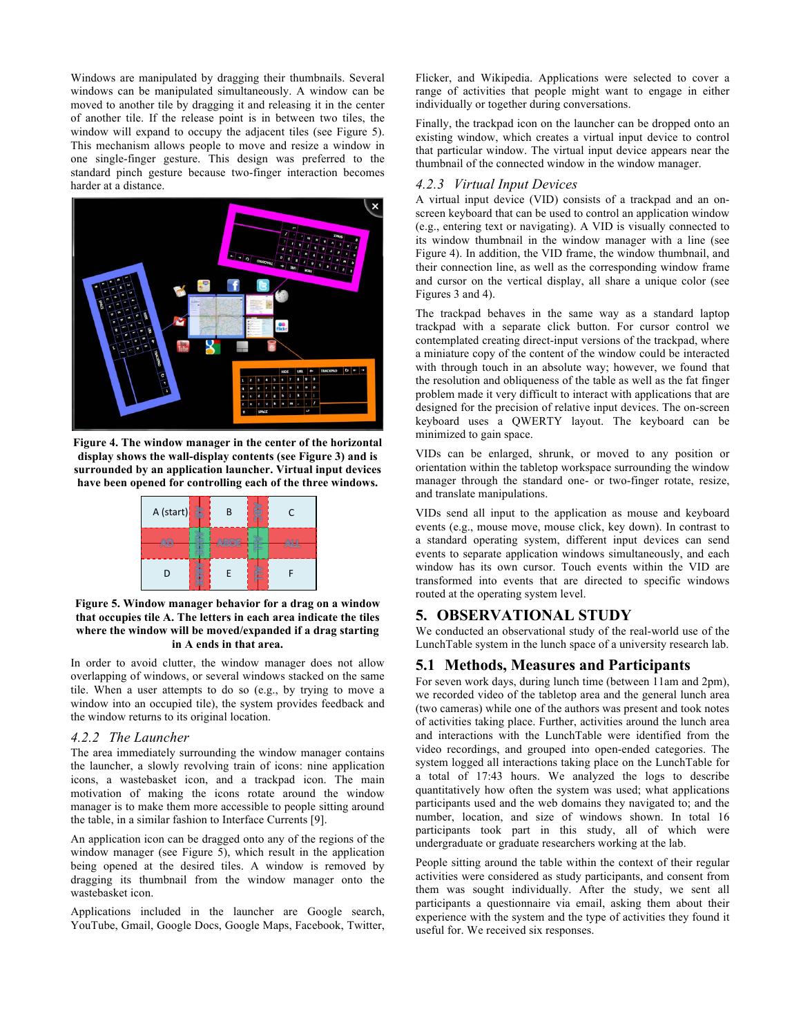Windows are manipulated by dragging their thumbnails. Several windows can be manipulated simultaneously. A window can be moved to another tile by dragging it and releasing it in the center of another tile. If the release point is in between two tiles, the window will expand to occupy the adjacent tiles (see Figure 5). This mechanism allows people to move and resize a window in one single-finger gesture. This design was preferred to the standard pinch gesture because two-finger interaction becomes harder at a distance.



**Figure 4. The window manager in the center of the horizontal display shows the wall-display contents (see Figure 3) and is surrounded by an application launcher. Virtual input devices have been opened for controlling each of the three windows.**



#### **Figure 5. Window manager behavior for a drag on a window that occupies tile A. The letters in each area indicate the tiles where the window will be moved/expanded if a drag starting in A ends in that area.**

In order to avoid clutter, the window manager does not allow overlapping of windows, or several windows stacked on the same tile. When a user attempts to do so (e.g., by trying to move a window into an occupied tile), the system provides feedback and the window returns to its original location.

## *4.2.2 The Launcher*

The area immediately surrounding the window manager contains the launcher, a slowly revolving train of icons: nine application icons, a wastebasket icon, and a trackpad icon. The main motivation of making the icons rotate around the window manager is to make them more accessible to people sitting around the table, in a similar fashion to Interface Currents [9].

An application icon can be dragged onto any of the regions of the window manager (see Figure 5), which result in the application being opened at the desired tiles. A window is removed by dragging its thumbnail from the window manager onto the wastebasket icon.

Applications included in the launcher are Google search, YouTube, Gmail, Google Docs, Google Maps, Facebook, Twitter, Flicker, and Wikipedia. Applications were selected to cover a range of activities that people might want to engage in either individually or together during conversations.

Finally, the trackpad icon on the launcher can be dropped onto an existing window, which creates a virtual input device to control that particular window. The virtual input device appears near the thumbnail of the connected window in the window manager.

#### *4.2.3 Virtual Input Devices*

A virtual input device (VID) consists of a trackpad and an onscreen keyboard that can be used to control an application window (e.g., entering text or navigating). A VID is visually connected to its window thumbnail in the window manager with a line (see Figure 4). In addition, the VID frame, the window thumbnail, and their connection line, as well as the corresponding window frame and cursor on the vertical display, all share a unique color (see Figures 3 and 4).

The trackpad behaves in the same way as a standard laptop trackpad with a separate click button. For cursor control we contemplated creating direct-input versions of the trackpad, where a miniature copy of the content of the window could be interacted with through touch in an absolute way; however, we found that the resolution and obliqueness of the table as well as the fat finger problem made it very difficult to interact with applications that are designed for the precision of relative input devices. The on-screen keyboard uses a QWERTY layout. The keyboard can be minimized to gain space.

VIDs can be enlarged, shrunk, or moved to any position or orientation within the tabletop workspace surrounding the window manager through the standard one- or two-finger rotate, resize, and translate manipulations.

VIDs send all input to the application as mouse and keyboard events (e.g., mouse move, mouse click, key down). In contrast to a standard operating system, different input devices can send events to separate application windows simultaneously, and each window has its own cursor. Touch events within the VID are transformed into events that are directed to specific windows routed at the operating system level.

# **5. OBSERVATIONAL STUDY**

We conducted an observational study of the real-world use of the LunchTable system in the lunch space of a university research lab.

# **5.1 Methods, Measures and Participants**

For seven work days, during lunch time (between 11am and 2pm), we recorded video of the tabletop area and the general lunch area (two cameras) while one of the authors was present and took notes of activities taking place. Further, activities around the lunch area and interactions with the LunchTable were identified from the video recordings, and grouped into open-ended categories. The system logged all interactions taking place on the LunchTable for a total of 17:43 hours. We analyzed the logs to describe quantitatively how often the system was used; what applications participants used and the web domains they navigated to; and the number, location, and size of windows shown. In total 16 participants took part in this study, all of which were undergraduate or graduate researchers working at the lab.

People sitting around the table within the context of their regular activities were considered as study participants, and consent from them was sought individually. After the study, we sent all participants a questionnaire via email, asking them about their experience with the system and the type of activities they found it useful for. We received six responses.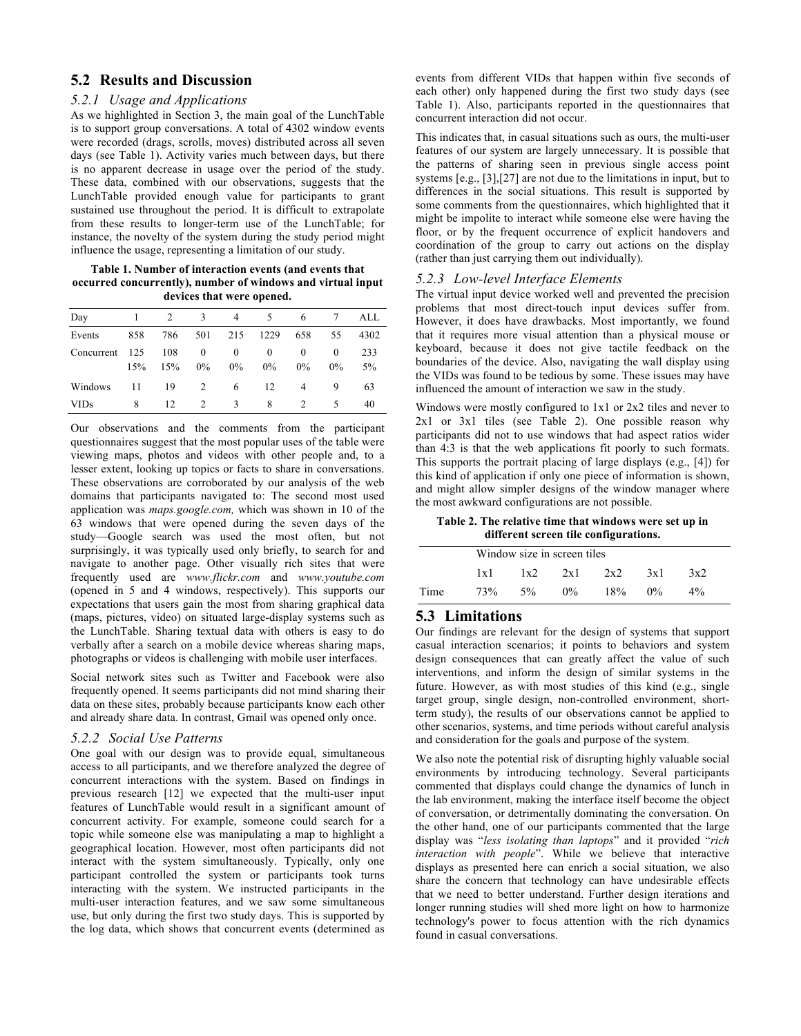# **5.2 Results and Discussion**

#### *5.2.1 Usage and Applications*

As we highlighted in Section 3, the main goal of the LunchTable is to support group conversations. A total of 4302 window events were recorded (drags, scrolls, moves) distributed across all seven days (see Table 1). Activity varies much between days, but there is no apparent decrease in usage over the period of the study. These data, combined with our observations, suggests that the LunchTable provided enough value for participants to grant sustained use throughout the period. It is difficult to extrapolate from these results to longer-term use of the LunchTable; for instance, the novelty of the system during the study period might influence the usage, representing a limitation of our study.

**Table 1. Number of interaction events (and events that occurred concurrently), number of windows and virtual input devices that were opened.** 

| Day         |             |            | 3                             | 4                 | 5              | 6              |                   | ALL       |
|-------------|-------------|------------|-------------------------------|-------------------|----------------|----------------|-------------------|-----------|
| Events      | 858         | 786        | 501                           | 215               | 1229           | 658            | 55                | 4302      |
| Concurrent  | -125<br>15% | 108<br>15% | $\theta$<br>$0\%$             | $\Omega$<br>$0\%$ | $\Omega$<br>0% | $\Omega$<br>0% | $\theta$<br>$0\%$ | 233<br>5% |
| Windows     | 11          | 19         | 2                             | 6                 | 12             | 4              | 9                 | 63        |
| <b>VIDs</b> | 8           | 12         | $\mathfrak{D}_{\mathfrak{p}}$ | $\mathbf{3}$      | 8              |                | 5                 | 40        |

Our observations and the comments from the participant questionnaires suggest that the most popular uses of the table were viewing maps, photos and videos with other people and, to a lesser extent, looking up topics or facts to share in conversations. These observations are corroborated by our analysis of the web domains that participants navigated to: The second most used application was *maps.google.com,* which was shown in 10 of the 63 windows that were opened during the seven days of the study—Google search was used the most often, but not surprisingly, it was typically used only briefly, to search for and navigate to another page. Other visually rich sites that were frequently used are *www.flickr.com* and *www.youtube.com* (opened in 5 and 4 windows, respectively). This supports our expectations that users gain the most from sharing graphical data (maps, pictures, video) on situated large-display systems such as the LunchTable. Sharing textual data with others is easy to do verbally after a search on a mobile device whereas sharing maps, photographs or videos is challenging with mobile user interfaces.

Social network sites such as Twitter and Facebook were also frequently opened. It seems participants did not mind sharing their data on these sites, probably because participants know each other and already share data. In contrast, Gmail was opened only once.

## *5.2.2 Social Use Patterns*

One goal with our design was to provide equal, simultaneous access to all participants, and we therefore analyzed the degree of concurrent interactions with the system. Based on findings in previous research [12] we expected that the multi-user input features of LunchTable would result in a significant amount of concurrent activity. For example, someone could search for a topic while someone else was manipulating a map to highlight a geographical location. However, most often participants did not interact with the system simultaneously. Typically, only one participant controlled the system or participants took turns interacting with the system. We instructed participants in the multi-user interaction features, and we saw some simultaneous use, but only during the first two study days. This is supported by the log data, which shows that concurrent events (determined as

events from different VIDs that happen within five seconds of each other) only happened during the first two study days (see Table 1). Also, participants reported in the questionnaires that concurrent interaction did not occur.

This indicates that, in casual situations such as ours, the multi-user features of our system are largely unnecessary. It is possible that the patterns of sharing seen in previous single access point systems [e.g., [3],[27] are not due to the limitations in input, but to differences in the social situations. This result is supported by some comments from the questionnaires, which highlighted that it might be impolite to interact while someone else were having the floor, or by the frequent occurrence of explicit handovers and coordination of the group to carry out actions on the display (rather than just carrying them out individually).

## *5.2.3 Low-level Interface Elements*

The virtual input device worked well and prevented the precision problems that most direct-touch input devices suffer from. However, it does have drawbacks. Most importantly, we found that it requires more visual attention than a physical mouse or keyboard, because it does not give tactile feedback on the boundaries of the device. Also, navigating the wall display using the VIDs was found to be tedious by some. These issues may have influenced the amount of interaction we saw in the study.

Windows were mostly configured to 1x1 or 2x2 tiles and never to 2x1 or 3x1 tiles (see Table 2). One possible reason why participants did not to use windows that had aspect ratios wider than 4:3 is that the web applications fit poorly to such formats. This supports the portrait placing of large displays (e.g., [4]) for this kind of application if only one piece of information is shown, and might allow simpler designs of the window manager where the most awkward configurations are not possible.

**Table 2. The relative time that windows were set up in different screen tile configurations.**

|      | Window size in screen tiles |     |       |            |     |       |  |  |  |  |  |
|------|-----------------------------|-----|-------|------------|-----|-------|--|--|--|--|--|
|      | 1x1                         | 1x2 | 2x1   | 2x2        | 3x1 | 3x2   |  |  |  |  |  |
| Time | 73%                         | 5%  | $0\%$ | $18\%$ 0\% |     | $4\%$ |  |  |  |  |  |

# **5.3 Limitations**

Our findings are relevant for the design of systems that support casual interaction scenarios; it points to behaviors and system design consequences that can greatly affect the value of such interventions, and inform the design of similar systems in the future. However, as with most studies of this kind (e.g., single target group, single design, non-controlled environment, shortterm study), the results of our observations cannot be applied to other scenarios, systems, and time periods without careful analysis and consideration for the goals and purpose of the system.

We also note the potential risk of disrupting highly valuable social environments by introducing technology. Several participants commented that displays could change the dynamics of lunch in the lab environment, making the interface itself become the object of conversation, or detrimentally dominating the conversation. On the other hand, one of our participants commented that the large display was "*less isolating than laptops*" and it provided "*rich interaction with people*". While we believe that interactive displays as presented here can enrich a social situation, we also share the concern that technology can have undesirable effects that we need to better understand. Further design iterations and longer running studies will shed more light on how to harmonize technology's power to focus attention with the rich dynamics found in casual conversations.